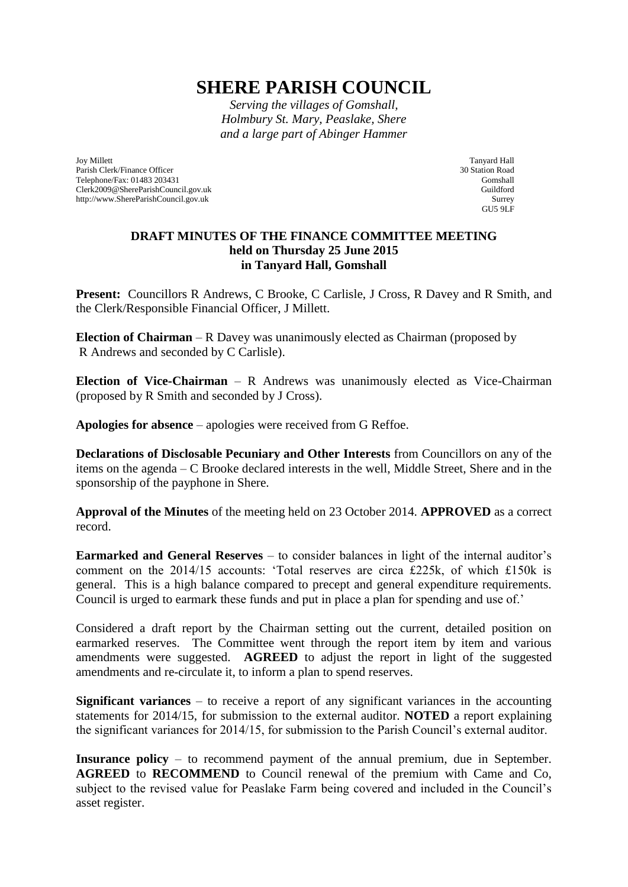## **SHERE PARISH COUNCIL**

*Serving the villages of Gomshall, Holmbury St. Mary, Peaslake, Shere and a large part of Abinger Hammer*

Joy Millett Parish Clerk/Finance Officer Telephone/Fax: 01483 203431 Clerk2009@ShereParishCouncil.gov.uk http://www.ShereParishCouncil.gov.uk

Tanyard Hall 30 Station Road Gomshall Guildford Surrey  $GU59LF$ 

## **DRAFT MINUTES OF THE FINANCE COMMITTEE MEETING held on Thursday 25 June 2015 in Tanyard Hall, Gomshall**

**Present:** Councillors R Andrews, C Brooke, C Carlisle, J Cross, R Davey and R Smith, and the Clerk/Responsible Financial Officer, J Millett.

**Election of Chairman** – R Davey was unanimously elected as Chairman (proposed by R Andrews and seconded by C Carlisle).

**Election of Vice-Chairman** – R Andrews was unanimously elected as Vice-Chairman (proposed by R Smith and seconded by J Cross).

**Apologies for absence** – apologies were received from G Reffoe.

**Declarations of Disclosable Pecuniary and Other Interests** from Councillors on any of the items on the agenda – C Brooke declared interests in the well, Middle Street, Shere and in the sponsorship of the payphone in Shere.

**Approval of the Minutes** of the meeting held on 23 October 2014. **APPROVED** as a correct record.

**Earmarked and General Reserves** – to consider balances in light of the internal auditor's comment on the 2014/15 accounts: 'Total reserves are circa £225k, of which £150k is general. This is a high balance compared to precept and general expenditure requirements. Council is urged to earmark these funds and put in place a plan for spending and use of.'

Considered a draft report by the Chairman setting out the current, detailed position on earmarked reserves. The Committee went through the report item by item and various amendments were suggested. **AGREED** to adjust the report in light of the suggested amendments and re-circulate it, to inform a plan to spend reserves.

**Significant variances** – to receive a report of any significant variances in the accounting statements for 2014/15, for submission to the external auditor. **NOTED** a report explaining the significant variances for 2014/15, for submission to the Parish Council's external auditor.

**Insurance policy** – to recommend payment of the annual premium, due in September. **AGREED** to **RECOMMEND** to Council renewal of the premium with Came and Co, subject to the revised value for Peaslake Farm being covered and included in the Council's asset register.